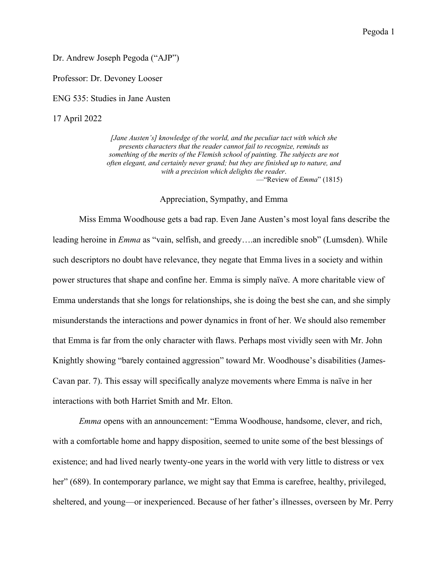Dr. Andrew Joseph Pegoda ("AJP")

Professor: Dr. Devoney Looser

ENG 535: Studies in Jane Austen

17 April 2022

*[Jane Austen's] knowledge of the world, and the peculiar tact with which she presents characters that the reader cannot fail to recognize, reminds us something of the merits of the Flemish school of painting. The subjects are not often elegant, and certainly never grand; but they are finished up to nature, and with a precision which delights the reader*. —"Review of *Emma*" (1815)

## Appreciation, Sympathy, and Emma

Miss Emma Woodhouse gets a bad rap. Even Jane Austen's most loyal fans describe the leading heroine in *Emma* as "vain, selfish, and greedy….an incredible snob" (Lumsden). While such descriptors no doubt have relevance, they negate that Emma lives in a society and within power structures that shape and confine her. Emma is simply naïve. A more charitable view of Emma understands that she longs for relationships, she is doing the best she can, and she simply misunderstands the interactions and power dynamics in front of her. We should also remember that Emma is far from the only character with flaws. Perhaps most vividly seen with Mr. John Knightly showing "barely contained aggression" toward Mr. Woodhouse's disabilities (James-Cavan par. 7). This essay will specifically analyze movements where Emma is naïve in her interactions with both Harriet Smith and Mr. Elton.

*Emma* opens with an announcement: "Emma Woodhouse, handsome, clever, and rich, with a comfortable home and happy disposition, seemed to unite some of the best blessings of existence; and had lived nearly twenty-one years in the world with very little to distress or vex her" (689). In contemporary parlance, we might say that Emma is carefree, healthy, privileged, sheltered, and young—or inexperienced. Because of her father's illnesses, overseen by Mr. Perry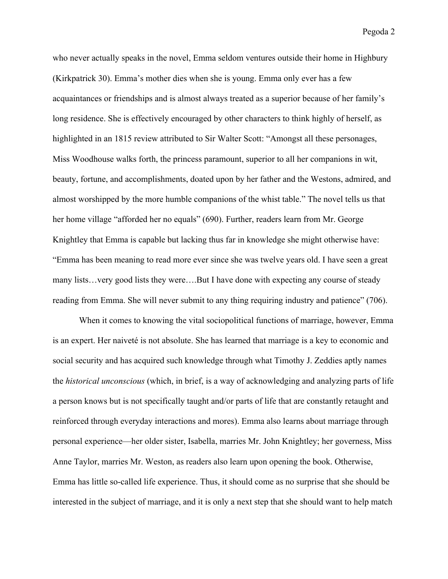who never actually speaks in the novel, Emma seldom ventures outside their home in Highbury (Kirkpatrick 30). Emma's mother dies when she is young. Emma only ever has a few acquaintances or friendships and is almost always treated as a superior because of her family's long residence. She is effectively encouraged by other characters to think highly of herself, as highlighted in an 1815 review attributed to Sir Walter Scott: "Amongst all these personages, Miss Woodhouse walks forth, the princess paramount, superior to all her companions in wit, beauty, fortune, and accomplishments, doated upon by her father and the Westons, admired, and almost worshipped by the more humble companions of the whist table." The novel tells us that her home village "afforded her no equals" (690). Further, readers learn from Mr. George Knightley that Emma is capable but lacking thus far in knowledge she might otherwise have: "Emma has been meaning to read more ever since she was twelve years old. I have seen a great many lists…very good lists they were….But I have done with expecting any course of steady reading from Emma. She will never submit to any thing requiring industry and patience" (706).

When it comes to knowing the vital sociopolitical functions of marriage, however, Emma is an expert. Her naiveté is not absolute. She has learned that marriage is a key to economic and social security and has acquired such knowledge through what Timothy J. Zeddies aptly names the *historical unconscious* (which, in brief, is a way of acknowledging and analyzing parts of life a person knows but is not specifically taught and/or parts of life that are constantly retaught and reinforced through everyday interactions and mores). Emma also learns about marriage through personal experience—her older sister, Isabella, marries Mr. John Knightley; her governess, Miss Anne Taylor, marries Mr. Weston, as readers also learn upon opening the book. Otherwise, Emma has little so-called life experience. Thus, it should come as no surprise that she should be interested in the subject of marriage, and it is only a next step that she should want to help match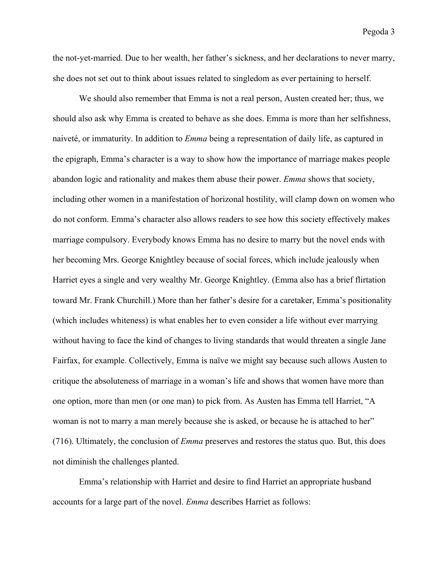the not-yet-married. Due to her wealth, her father's sickness, and her declarations to never marry, she does not set out to think about issues related to singledom as ever pertaining to herself.

We should also remember that Emma is not a real person, Austen created her; thus, we should also ask why Emma is created to behave as she does. Emma is more than her selfishness, naiveté, or immaturity. In addition to *Emma* being a representation of daily life, as captured in the epigraph, Emma's character is a way to show how the importance of marriage makes people abandon logic and rationality and makes them abuse their power. *Emma* shows that society, including other women in a manifestation of horizonal hostility, will clamp down on women who do not conform. Emma's character also allows readers to see how this society effectively makes marriage compulsory. Everybody knows Emma has no desire to marry but the novel ends with her becoming Mrs. George Knightley because of social forces, which include jealously when Harriet eyes a single and very wealthy Mr. George Knightley. (Emma also has a brief flirtation toward Mr. Frank Churchill.) More than her father's desire for a caretaker, Emma's positionality (which includes whiteness) is what enables her to even consider a life without ever marrying without having to face the kind of changes to living standards that would threaten a single Jane Fairfax, for example. Collectively, Emma is naïve we might say because such allows Austen to critique the absoluteness of marriage in a woman's life and shows that women have more than one option, more than men (or one man) to pick from. As Austen has Emma tell Harriet, "A woman is not to marry a man merely because she is asked, or because he is attached to her" (716). Ultimately, the conclusion of *Emma* preserves and restores the status quo. But, this does not diminish the challenges planted.

Emma's relationship with Harriet and desire to find Harriet an appropriate husband accounts for a large part of the novel. *Emma* describes Harriet as follows: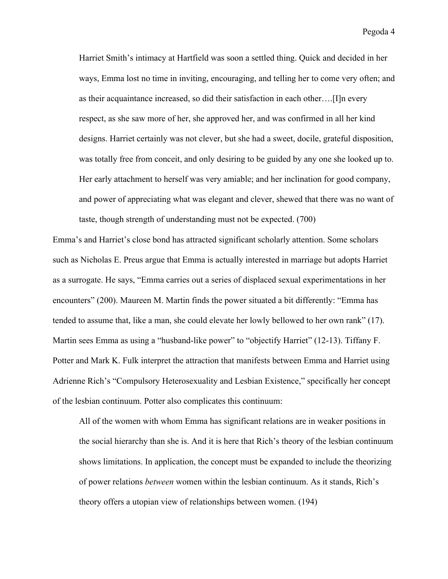Pegoda 4

Harriet Smith's intimacy at Hartfield was soon a settled thing. Quick and decided in her ways, Emma lost no time in inviting, encouraging, and telling her to come very often; and as their acquaintance increased, so did their satisfaction in each other….[I]n every respect, as she saw more of her, she approved her, and was confirmed in all her kind designs. Harriet certainly was not clever, but she had a sweet, docile, grateful disposition, was totally free from conceit, and only desiring to be guided by any one she looked up to. Her early attachment to herself was very amiable; and her inclination for good company, and power of appreciating what was elegant and clever, shewed that there was no want of taste, though strength of understanding must not be expected. (700)

Emma's and Harriet's close bond has attracted significant scholarly attention. Some scholars such as Nicholas E. Preus argue that Emma is actually interested in marriage but adopts Harriet as a surrogate. He says, "Emma carries out a series of displaced sexual experimentations in her encounters" (200). Maureen M. Martin finds the power situated a bit differently: "Emma has tended to assume that, like a man, she could elevate her lowly bellowed to her own rank" (17). Martin sees Emma as using a "husband-like power" to "objectify Harriet" (12-13). Tiffany F. Potter and Mark K. Fulk interpret the attraction that manifests between Emma and Harriet using Adrienne Rich's "Compulsory Heterosexuality and Lesbian Existence," specifically her concept of the lesbian continuum. Potter also complicates this continuum:

All of the women with whom Emma has significant relations are in weaker positions in the social hierarchy than she is. And it is here that Rich's theory of the lesbian continuum shows limitations. In application, the concept must be expanded to include the theorizing of power relations *between* women within the lesbian continuum. As it stands, Rich's theory offers a utopian view of relationships between women. (194)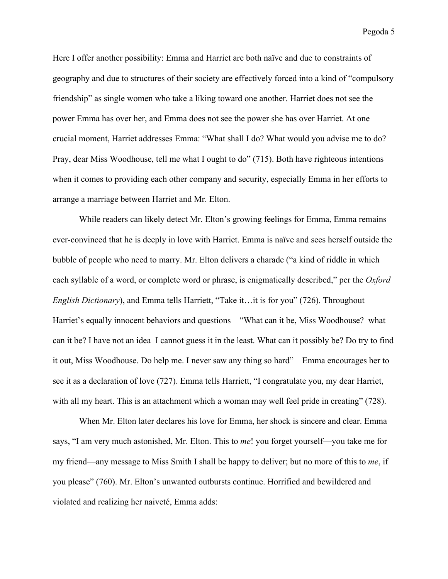Pegoda 5

Here I offer another possibility: Emma and Harriet are both naïve and due to constraints of geography and due to structures of their society are effectively forced into a kind of "compulsory friendship" as single women who take a liking toward one another. Harriet does not see the power Emma has over her, and Emma does not see the power she has over Harriet. At one crucial moment, Harriet addresses Emma: "What shall I do? What would you advise me to do? Pray, dear Miss Woodhouse, tell me what I ought to do" (715). Both have righteous intentions when it comes to providing each other company and security, especially Emma in her efforts to arrange a marriage between Harriet and Mr. Elton.

While readers can likely detect Mr. Elton's growing feelings for Emma, Emma remains ever-convinced that he is deeply in love with Harriet. Emma is naïve and sees herself outside the bubble of people who need to marry. Mr. Elton delivers a charade ("a kind of riddle in which each syllable of a word, or complete word or phrase, is enigmatically described," per the *Oxford English Dictionary*), and Emma tells Harriett, "Take it…it is for you" (726). Throughout Harriet's equally innocent behaviors and questions—"What can it be, Miss Woodhouse?–what can it be? I have not an idea–I cannot guess it in the least. What can it possibly be? Do try to find it out, Miss Woodhouse. Do help me. I never saw any thing so hard"—Emma encourages her to see it as a declaration of love (727). Emma tells Harriett, "I congratulate you, my dear Harriet, with all my heart. This is an attachment which a woman may well feel pride in creating" (728).

When Mr. Elton later declares his love for Emma, her shock is sincere and clear. Emma says, "I am very much astonished, Mr. Elton. This to *me*! you forget yourself—you take me for my friend—any message to Miss Smith I shall be happy to deliver; but no more of this to *me*, if you please" (760). Mr. Elton's unwanted outbursts continue. Horrified and bewildered and violated and realizing her naiveté, Emma adds: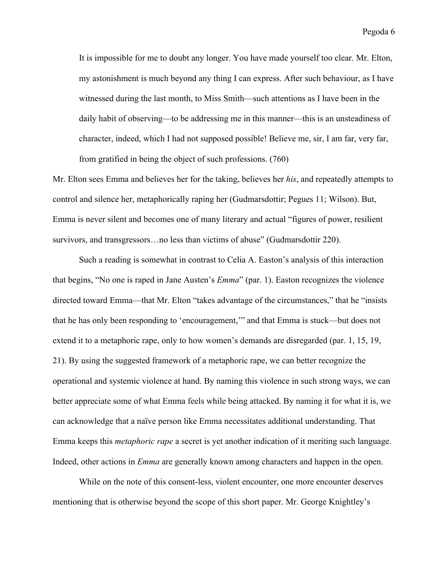It is impossible for me to doubt any longer. You have made yourself too clear. Mr. Elton, my astonishment is much beyond any thing I can express. After such behaviour, as I have witnessed during the last month, to Miss Smith—such attentions as I have been in the daily habit of observing—to be addressing me in this manner—this is an unsteadiness of character, indeed, which I had not supposed possible! Believe me, sir, I am far, very far, from gratified in being the object of such professions. (760)

Mr. Elton sees Emma and believes her for the taking, believes her *his*, and repeatedly attempts to control and silence her, metaphorically raping her (Gudmarsdottir; Pegues 11; Wilson). But, Emma is never silent and becomes one of many literary and actual "figures of power, resilient survivors, and transgressors…no less than victims of abuse" (Gudmarsdottir 220).

Such a reading is somewhat in contrast to Celia A. Easton's analysis of this interaction that begins, "No one is raped in Jane Austen's *Emma*" (par. 1). Easton recognizes the violence directed toward Emma—that Mr. Elton "takes advantage of the circumstances," that he "insists that he has only been responding to 'encouragement,'" and that Emma is stuck—but does not extend it to a metaphoric rape, only to how women's demands are disregarded (par. 1, 15, 19, 21). By using the suggested framework of a metaphoric rape, we can better recognize the operational and systemic violence at hand. By naming this violence in such strong ways, we can better appreciate some of what Emma feels while being attacked. By naming it for what it is, we can acknowledge that a naïve person like Emma necessitates additional understanding. That Emma keeps this *metaphoric rape* a secret is yet another indication of it meriting such language. Indeed, other actions in *Emma* are generally known among characters and happen in the open.

While on the note of this consent-less, violent encounter, one more encounter deserves mentioning that is otherwise beyond the scope of this short paper. Mr. George Knightley's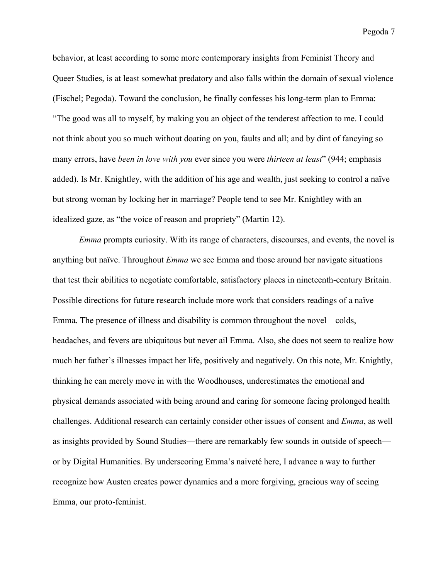Pegoda 7

behavior, at least according to some more contemporary insights from Feminist Theory and Queer Studies, is at least somewhat predatory and also falls within the domain of sexual violence (Fischel; Pegoda). Toward the conclusion, he finally confesses his long-term plan to Emma: "The good was all to myself, by making you an object of the tenderest affection to me. I could not think about you so much without doating on you, faults and all; and by dint of fancying so many errors, have *been in love with you* ever since you were *thirteen at least*" (944; emphasis added). Is Mr. Knightley, with the addition of his age and wealth, just seeking to control a naïve but strong woman by locking her in marriage? People tend to see Mr. Knightley with an idealized gaze, as "the voice of reason and propriety" (Martin 12).

*Emma* prompts curiosity. With its range of characters, discourses, and events, the novel is anything but naïve. Throughout *Emma* we see Emma and those around her navigate situations that test their abilities to negotiate comfortable, satisfactory places in nineteenth-century Britain. Possible directions for future research include more work that considers readings of a naïve Emma. The presence of illness and disability is common throughout the novel—colds, headaches, and fevers are ubiquitous but never ail Emma. Also, she does not seem to realize how much her father's illnesses impact her life, positively and negatively. On this note, Mr. Knightly, thinking he can merely move in with the Woodhouses, underestimates the emotional and physical demands associated with being around and caring for someone facing prolonged health challenges. Additional research can certainly consider other issues of consent and *Emma*, as well as insights provided by Sound Studies—there are remarkably few sounds in outside of speech or by Digital Humanities. By underscoring Emma's naiveté here, I advance a way to further recognize how Austen creates power dynamics and a more forgiving, gracious way of seeing Emma, our proto-feminist.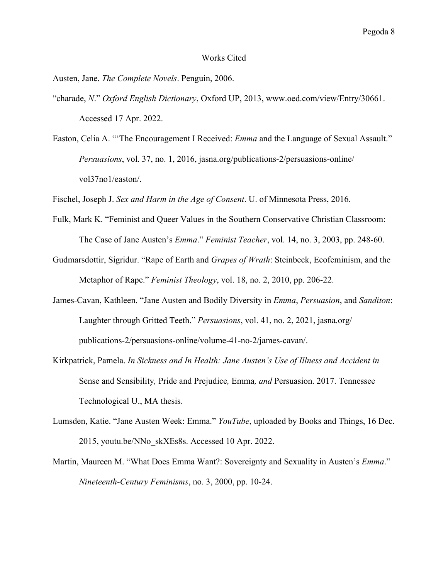## Works Cited

Austen, Jane. *The Complete Novels*. Penguin, 2006.

- "charade, *N*." *Oxford English Dictionary*, Oxford UP, 2013, www.oed.com/view/Entry/30661. Accessed 17 Apr. 2022.
- Easton, Celia A. "'The Encouragement I Received: *Emma* and the Language of Sexual Assault." *Persuasions*, vol. 37, no. 1, 2016, jasna.org/publications-2/persuasions-online/ vol37no1/easton/.

Fischel, Joseph J. *Sex and Harm in the Age of Consent*. U. of Minnesota Press, 2016.

- Fulk, Mark K. "Feminist and Queer Values in the Southern Conservative Christian Classroom: The Case of Jane Austen's *Emma*." *Feminist Teacher*, vol. 14, no. 3, 2003, pp. 248-60.
- Gudmarsdottir, Sigridur. "Rape of Earth and *Grapes of Wrath*: Steinbeck, Ecofeminism, and the Metaphor of Rape." *Feminist Theology*, vol. 18, no. 2, 2010, pp. 206-22.
- James-Cavan, Kathleen. "Jane Austen and Bodily Diversity in *Emma*, *Persuasion*, and *Sanditon*: Laughter through Gritted Teeth." *Persuasions*, vol. 41, no. 2, 2021, jasna.org/ publications-2/persuasions-online/volume-41-no-2/james-cavan/.
- Kirkpatrick, Pamela. *In Sickness and In Health: Jane Austen's Use of Illness and Accident in*  Sense and Sensibility*,* Pride and Prejudice*,* Emma*, and* Persuasion. 2017. Tennessee Technological U., MA thesis.
- Lumsden, Katie. "Jane Austen Week: Emma." *YouTube*, uploaded by Books and Things, 16 Dec. 2015, youtu.be/NNo\_skXEs8s. Accessed 10 Apr. 2022.
- Martin, Maureen M. "What Does Emma Want?: Sovereignty and Sexuality in Austen's *Emma*." *Nineteenth-Century Feminisms*, no. 3, 2000, pp. 10-24.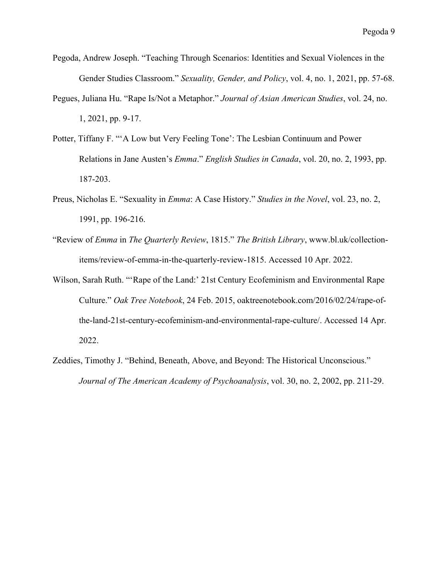- Pegoda, Andrew Joseph. "Teaching Through Scenarios: Identities and Sexual Violences in the Gender Studies Classroom." *Sexuality, Gender, and Policy*, vol. 4, no. 1, 2021, pp. 57-68.
- Pegues, Juliana Hu. "Rape Is/Not a Metaphor." *Journal of Asian American Studies*, vol. 24, no. 1, 2021, pp. 9-17.
- Potter, Tiffany F. "'A Low but Very Feeling Tone': The Lesbian Continuum and Power Relations in Jane Austen's *Emma*." *English Studies in Canada*, vol. 20, no. 2, 1993, pp. 187-203.
- Preus, Nicholas E. "Sexuality in *Emma*: A Case History." *Studies in the Novel*, vol. 23, no. 2, 1991, pp. 196-216.
- "Review of *Emma* in *The Quarterly Review*, 1815." *The British Library*, www.bl.uk/collectionitems/review-of-emma-in-the-quarterly-review-1815. Accessed 10 Apr. 2022.
- Wilson, Sarah Ruth. "'Rape of the Land:' 21st Century Ecofeminism and Environmental Rape Culture." *Oak Tree Notebook*, 24 Feb. 2015, oaktreenotebook.com/2016/02/24/rape-ofthe-land-21st-century-ecofeminism-and-environmental-rape-culture/. Accessed 14 Apr. 2022.
- Zeddies, Timothy J. "Behind, Beneath, Above, and Beyond: The Historical Unconscious." *Journal of The American Academy of Psychoanalysis*, vol. 30, no. 2, 2002, pp. 211-29.